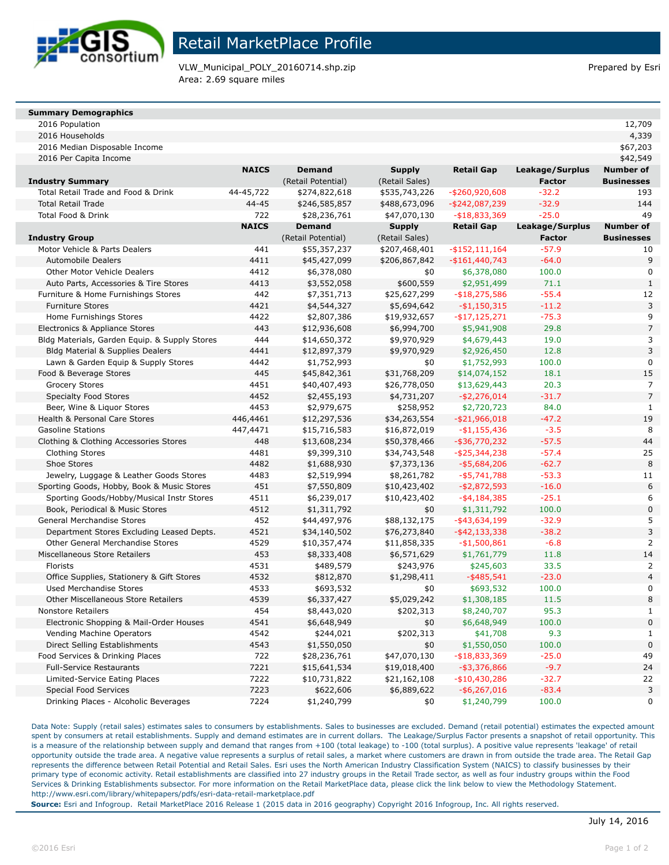

## Retail MarketPlace Profile

VLW\_Municipal\_POLY\_20160714.shp.zip Prepared by Esri Area: 2.69 square miles

#### **Summary Demographics**

2016 Population 12,709

| 2016 Median Disposable Income                 |              |                    |                |                   |                 | \$67,203          |
|-----------------------------------------------|--------------|--------------------|----------------|-------------------|-----------------|-------------------|
| 2016 Per Capita Income                        |              |                    |                |                   |                 | \$42,549          |
|                                               | <b>NAICS</b> | <b>Demand</b>      | <b>Supply</b>  | <b>Retail Gap</b> | Leakage/Surplus | <b>Number of</b>  |
| <b>Industry Summary</b>                       |              | (Retail Potential) | (Retail Sales) |                   | <b>Factor</b>   | <b>Businesses</b> |
| Total Retail Trade and Food & Drink           | 44-45,722    | \$274,822,618      | \$535,743,226  | -\$260,920,608    | $-32.2$         | 193               |
| <b>Total Retail Trade</b>                     | $44 - 45$    | \$246,585,857      | \$488,673,096  | $-$ \$242,087,239 | $-32.9$         | 144               |
| Total Food & Drink                            | 722          | \$28,236,761       | \$47,070,130   | $- $18,833,369$   | $-25.0$         | 49                |
|                                               | <b>NAICS</b> | <b>Demand</b>      | <b>Supply</b>  | <b>Retail Gap</b> | Leakage/Surplus | <b>Number of</b>  |
| Industry Group                                |              | (Retail Potential) | (Retail Sales) |                   | <b>Factor</b>   | <b>Businesses</b> |
| Motor Vehicle & Parts Dealers                 | 441          | \$55,357,237       | \$207,468,401  | $-$ \$152,111,164 | $-57.9$         | 10                |
| <b>Automobile Dealers</b>                     | 4411         | \$45,427,099       | \$206,867,842  | $-$161,440,743$   | $-64.0$         | 9                 |
| Other Motor Vehicle Dealers                   | 4412         | \$6,378,080        | \$0            | \$6,378,080       | 100.0           | $\mathbf 0$       |
| Auto Parts, Accessories & Tire Stores         | 4413         | \$3,552,058        | \$600,559      | \$2,951,499       | 71.1            | $\mathbf{1}$      |
| Furniture & Home Furnishings Stores           | 442          | \$7,351,713        | \$25,627,299   | $- $18,275,586$   | $-55.4$         | 12                |
| <b>Furniture Stores</b>                       | 4421         | \$4,544,327        | \$5,694,642    | $-$1,150,315$     | $-11.2$         | 3                 |
| Home Furnishings Stores                       | 4422         | \$2,807,386        | \$19,932,657   | $-$ \$17,125,271  | $-75.3$         | 9                 |
| Electronics & Appliance Stores                | 443          | \$12,936,608       | \$6,994,700    | \$5,941,908       | 29.8            | 7                 |
| Bldg Materials, Garden Equip. & Supply Stores | 444          | \$14,650,372       | \$9,970,929    | \$4,679,443       | 19.0            | 3                 |
| <b>Bldg Material &amp; Supplies Dealers</b>   | 4441         | \$12,897,379       | \$9,970,929    | \$2,926,450       | 12.8            | 3                 |
| Lawn & Garden Equip & Supply Stores           | 4442         | \$1,752,993        | \$0            | \$1,752,993       | 100.0           | $\mathbf 0$       |
| Food & Beverage Stores                        | 445          | \$45,842,361       | \$31,768,209   | \$14,074,152      | 18.1            | 15                |
| <b>Grocery Stores</b>                         | 4451         | \$40,407,493       | \$26,778,050   | \$13,629,443      | 20.3            | 7                 |
| <b>Specialty Food Stores</b>                  | 4452         | \$2,455,193        | \$4,731,207    | $-$ \$2,276,014   | $-31.7$         | $\overline{7}$    |
| Beer, Wine & Liquor Stores                    | 4453         | \$2,979,675        | \$258,952      | \$2,720,723       | 84.0            | $\mathbf{1}$      |
| Health & Personal Care Stores                 | 446,4461     | \$12,297,536       | \$34,263,554   | $-$ \$21,966,018  | $-47.2$         | 19                |
| <b>Gasoline Stations</b>                      | 447,4471     | \$15,716,583       | \$16,872,019   | $-$1,155,436$     | $-3.5$          | 8                 |
| Clothing & Clothing Accessories Stores        | 448          | \$13,608,234       | \$50,378,466   | $-$ \$36,770,232  | $-57.5$         | 44                |
| <b>Clothing Stores</b>                        | 4481         | \$9,399,310        | \$34,743,548   | $-$ \$25,344,238  | $-57.4$         | 25                |
| Shoe Stores                                   | 4482         | \$1,688,930        | \$7,373,136    | $-$ \$5,684,206   | $-62.7$         | 8                 |
| Jewelry, Luggage & Leather Goods Stores       | 4483         | \$2,519,994        | \$8,261,782    | $-$ \$5,741,788   | $-53.3$         | 11                |
| Sporting Goods, Hobby, Book & Music Stores    | 451          | \$7,550,809        | \$10,423,402   | $-$2,872,593$     | $-16.0$         | 6                 |
| Sporting Goods/Hobby/Musical Instr Stores     | 4511         | \$6,239,017        | \$10,423,402   | $-$ \$4,184,385   | $-25.1$         | 6                 |
| Book, Periodical & Music Stores               | 4512         | \$1,311,792        | \$0            | \$1,311,792       | 100.0           | $\overline{0}$    |
| <b>General Merchandise Stores</b>             | 452          | \$44,497,976       | \$88,132,175   | $-$ \$43,634,199  | $-32.9$         | 5                 |
| Department Stores Excluding Leased Depts.     | 4521         | \$34,140,502       | \$76,273,840   | $-$ \$42,133,338  | $-38.2$         | 3                 |
| Other General Merchandise Stores              | 4529         | \$10,357,474       | \$11,858,335   | $-$1,500,861$     | $-6.8$          | $\overline{2}$    |
| Miscellaneous Store Retailers                 | 453          | \$8,333,408        | \$6,571,629    | \$1,761,779       | 11.8            | 14                |
| Florists                                      | 4531         | \$489,579          | \$243,976      | \$245,603         | 33.5            | $\overline{2}$    |
| Office Supplies, Stationery & Gift Stores     | 4532         | \$812,870          | \$1,298,411    | $-$ \$485,541     | $-23.0$         | $\overline{4}$    |
| <b>Used Merchandise Stores</b>                | 4533         | \$693,532          | \$0            | \$693,532         | 100.0           | $\mathbf 0$       |
| Other Miscellaneous Store Retailers           | 4539         | \$6,337,427        | \$5,029,242    | \$1,308,185       | 11.5            | 8                 |
| <b>Nonstore Retailers</b>                     | 454          | \$8,443,020        | \$202,313      | \$8,240,707       | 95.3            | $\mathbf{1}$      |
| Electronic Shopping & Mail-Order Houses       | 4541         | \$6,648,949        | \$0            | \$6,648,949       | 100.0           | $\overline{0}$    |
| Vending Machine Operators                     | 4542         | \$244,021          | \$202,313      | \$41,708          | 9.3             | $\mathbf{1}$      |
| Direct Selling Establishments                 | 4543         | \$1,550,050        | \$0            | \$1,550,050       | 100.0           | $\overline{0}$    |
| Food Services & Drinking Places               | 722          | \$28,236,761       | \$47,070,130   | $- $18,833,369$   | $-25.0$         | 49                |
| <b>Full-Service Restaurants</b>               | 7221         | \$15,641,534       | \$19,018,400   | $-$ \$3,376,866   | $-9.7$          | 24                |
| Limited-Service Eating Places                 | 7222         | \$10,731,822       | \$21,162,108   | $-$10,430,286$    | $-32.7$         | 22                |
| Special Food Services                         | 7223         | \$622,606          | \$6,889,622    | $-$ \$6,267,016   | $-83.4$         | 3                 |
| Drinking Places - Alcoholic Beverages         | 7224         | \$1,240,799        | \$0            | \$1,240,799       | 100.0           | $\mathbf 0$       |
|                                               |              |                    |                |                   |                 |                   |

2016 Households 4,339

Data Note: Supply (retail sales) estimates sales to consumers by establishments. Sales to businesses are excluded. Demand (retail potential) estimates the expected amount spent by consumers at retail establishments. Supply and demand estimates are in current dollars. The Leakage/Surplus Factor presents a snapshot of retail opportunity. This is a measure of the relationship between supply and demand that ranges from +100 (total leakage) to -100 (total surplus). A positive value represents 'leakage' of retail opportunity outside the trade area. A negative value represents a surplus of retail sales, a market where customers are drawn in from outside the trade area. The Retail Gap represents the difference between Retail Potential and Retail Sales. Esri uses the North American Industry Classification System (NAICS) to classify businesses by their primary type of economic activity. Retail establishments are classified into 27 industry groups in the Retail Trade sector, as well as four industry groups within the Food Services & Drinking Establishments subsector. For more information on the Retail MarketPlace data, please click the link below to view the Methodology Statement. http://www.esri.com/library/whitepapers/pdfs/esri-data-retail-marketplace.pdf

**Source:** Esri and Infogroup. Retail MarketPlace 2016 Release 1 (2015 data in 2016 geography) Copyright 2016 Infogroup, Inc. All rights reserved.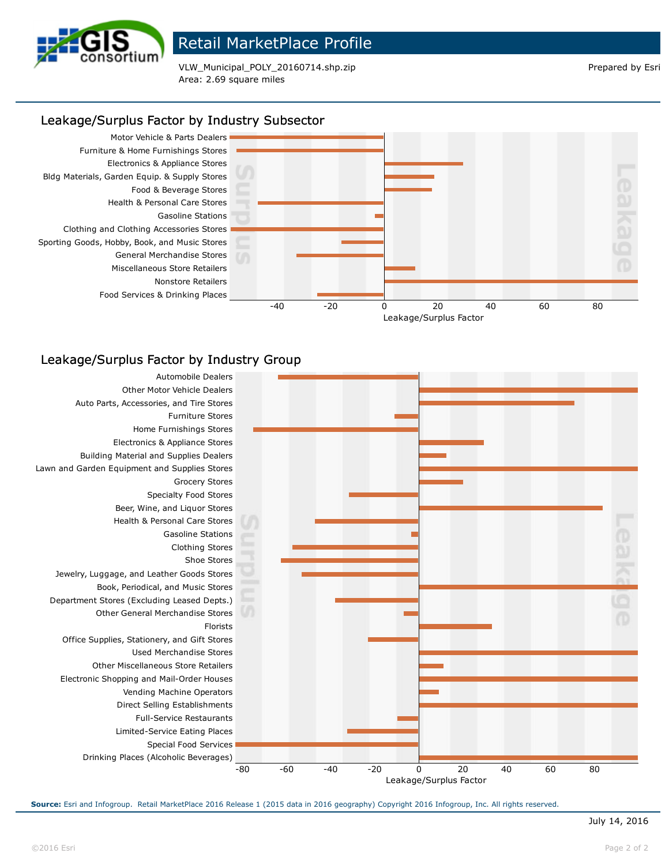

## Retail MarketPlace Profile

VLW\_Municipal\_POLY\_20160714.shp.zip Prepared by Esri Area: 2.69 square miles

## Leakage/Surplus Factor by Industry Subsector



## Leakage/Surplus Factor by Industry Group



**Source:** Esri and Infogroup. Retail MarketPlace 2016 Release 1 (2015 data in 2016 geography) Copyright 2016 Infogroup, Inc. All rights reserved.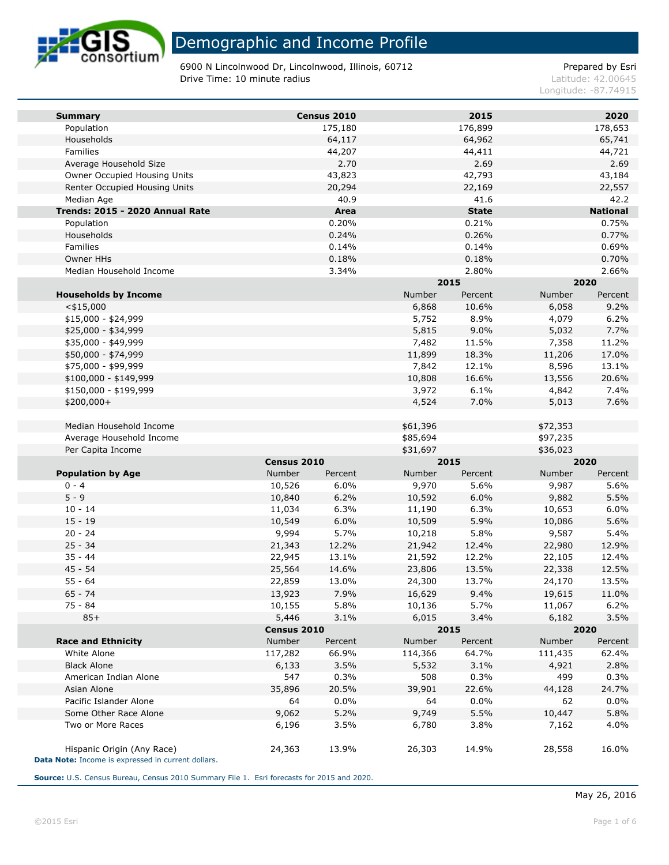

6900 N Lincolnwood Dr, Lincolnwood, Illinois, 60712 Prepared by Esri **Drive Time: 10 minute radius Latitude: 42.00645** 

Longitude: -87.74915

| <b>Summary</b>                  |             | Census 2010 |          | 2015         |          | 2020            |
|---------------------------------|-------------|-------------|----------|--------------|----------|-----------------|
| Population                      |             | 175,180     |          | 176,899      |          | 178,653         |
| Households                      |             | 64,117      |          | 64,962       |          | 65,741          |
| Families                        |             | 44,207      |          | 44,411       |          | 44,721          |
| Average Household Size          |             | 2.70        |          | 2.69         |          | 2.69            |
| Owner Occupied Housing Units    |             | 43,823      |          | 42,793       |          | 43,184          |
| Renter Occupied Housing Units   |             | 20,294      |          | 22,169       |          | 22,557          |
| Median Age                      |             | 40.9        |          | 41.6         |          | 42.2            |
| Trends: 2015 - 2020 Annual Rate |             | Area        |          | <b>State</b> |          | <b>National</b> |
| Population                      |             | 0.20%       |          | 0.21%        |          | 0.75%           |
| Households                      |             | 0.24%       |          | 0.26%        |          | 0.77%           |
| Families                        |             | 0.14%       |          | 0.14%        |          | 0.69%           |
| Owner HHs                       |             | 0.18%       |          | 0.18%        |          | 0.70%           |
| Median Household Income         |             | 3.34%       |          | 2.80%        |          | 2.66%           |
|                                 |             |             | 2015     |              |          | 2020            |
| <b>Households by Income</b>     |             |             | Number   | Percent      | Number   | Percent         |
| $<$ \$15,000                    |             |             | 6,868    | 10.6%        | 6,058    | 9.2%            |
| $$15,000 - $24,999$             |             |             | 5,752    | 8.9%         | 4,079    | 6.2%            |
| \$25,000 - \$34,999             |             |             | 5,815    | 9.0%         | 5,032    | 7.7%            |
| \$35,000 - \$49,999             |             |             | 7,482    | 11.5%        | 7,358    | 11.2%           |
| \$50,000 - \$74,999             |             |             | 11,899   | 18.3%        | 11,206   | 17.0%           |
| \$75,000 - \$99,999             |             |             | 7,842    | 12.1%        | 8,596    | 13.1%           |
| \$100,000 - \$149,999           |             |             | 10,808   | 16.6%        | 13,556   | 20.6%           |
| \$150,000 - \$199,999           |             |             | 3,972    | 6.1%         | 4,842    | 7.4%            |
| \$200,000+                      |             |             | 4,524    | 7.0%         | 5,013    | 7.6%            |
| Median Household Income         |             |             | \$61,396 |              | \$72,353 |                 |
| Average Household Income        |             |             | \$85,694 |              | \$97,235 |                 |
| Per Capita Income               |             |             | \$31,697 |              | \$36,023 |                 |
|                                 | Census 2010 |             | 2015     |              |          | 2020            |
| <b>Population by Age</b>        | Number      | Percent     | Number   | Percent      | Number   | Percent         |
| $0 - 4$                         | 10,526      | 6.0%        | 9,970    | 5.6%         | 9,987    | 5.6%            |
| $5 - 9$                         | 10,840      | 6.2%        | 10,592   | 6.0%         | 9,882    | 5.5%            |
| $10 - 14$                       | 11,034      | 6.3%        | 11,190   | 6.3%         | 10,653   | 6.0%            |
| $15 - 19$                       | 10,549      | 6.0%        | 10,509   | 5.9%         | 10,086   | 5.6%            |
| $20 - 24$                       | 9,994       | 5.7%        | 10,218   | 5.8%         | 9,587    | 5.4%            |
| $25 - 34$                       | 21,343      | 12.2%       | 21,942   | 12.4%        | 22,980   | 12.9%           |
| $35 - 44$                       | 22,945      | 13.1%       | 21,592   | 12.2%        | 22,105   | 12.4%           |
| $45 - 54$                       | 25,564      | 14.6%       | 23,806   | 13.5%        | 22,338   | 12.5%           |
| $55 - 64$                       | 22,859      | 13.0%       | 24,300   | 13.7%        | 24,170   | 13.5%           |
| $65 - 74$                       | 13,923      | 7.9%        | 16,629   | 9.4%         | 19,615   | 11.0%           |
| 75 - 84                         | 10,155      | 5.8%        | 10,136   | 5.7%         | 11,067   | 6.2%            |
| $85+$                           | 5,446       | 3.1%        | 6,015    | 3.4%         | 6,182    | 3.5%            |
|                                 | Census 2010 |             | 2015     |              |          | 2020            |
| <b>Race and Ethnicity</b>       | Number      | Percent     | Number   | Percent      | Number   | Percent         |
| White Alone                     | 117,282     | 66.9%       | 114,366  | 64.7%        | 111,435  | 62.4%           |
| <b>Black Alone</b>              | 6,133       | 3.5%        | 5,532    | 3.1%         | 4,921    | 2.8%            |
| American Indian Alone           | 547         | 0.3%        | 508      | 0.3%         | 499      | 0.3%            |
| Asian Alone                     | 35,896      | 20.5%       | 39,901   | 22.6%        | 44,128   | 24.7%           |
| Pacific Islander Alone          | 64          | $0.0\%$     | 64       | 0.0%         | 62       | 0.0%            |
| Some Other Race Alone           | 9,062       | 5.2%        | 9,749    | 5.5%         | 10,447   | 5.8%            |
| Two or More Races               | 6,196       | 3.5%        | 6,780    | 3.8%         | 7,162    | 4.0%            |
| Hispanic Origin (Any Race)      | 24,363      | 13.9%       | 26,303   | 14.9%        | 28,558   | 16.0%           |

**Data Note:** Income is expressed in current dollars.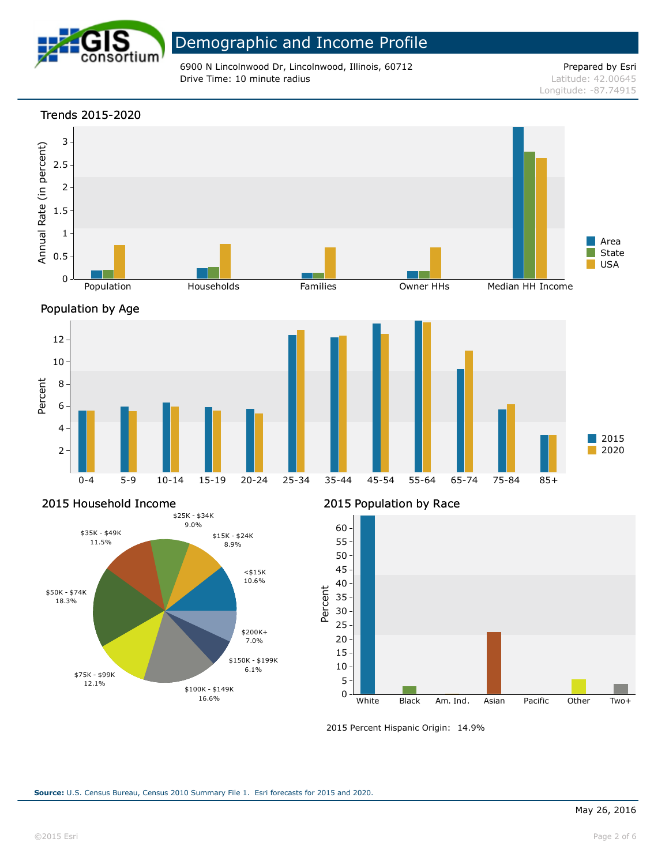

6900 N Lincolnwood Dr, Lincolnwood, Illinois, 60712 Prepared by Esri **Drive Time: 10 minute radius Latitude: 42.00645** 

Longitude: -87.74915

## Trends 2015-2020 3 Annual Rate (in percent) Annual Rate (in percent) 2.5 2 1.5 1 Area State 0.5 USA 0 Population **Households** Families Owner HHs Median HH Income Population by Age  $\begin{array}{ccc} & & 12 \\ & 10 \\ & & 8 \\ \text{Deccend} \\ \text{De} \end{array}$ 10 8 6 4 2015 2020 2

0-4 5-9 10-14 15-19 20-24 25-34 35-44 45-54 55-64 65-74 75-84 85+

## 2015 Household Income



### 2015 Population by Race



2015 Percent Hispanic Origin: 14.9%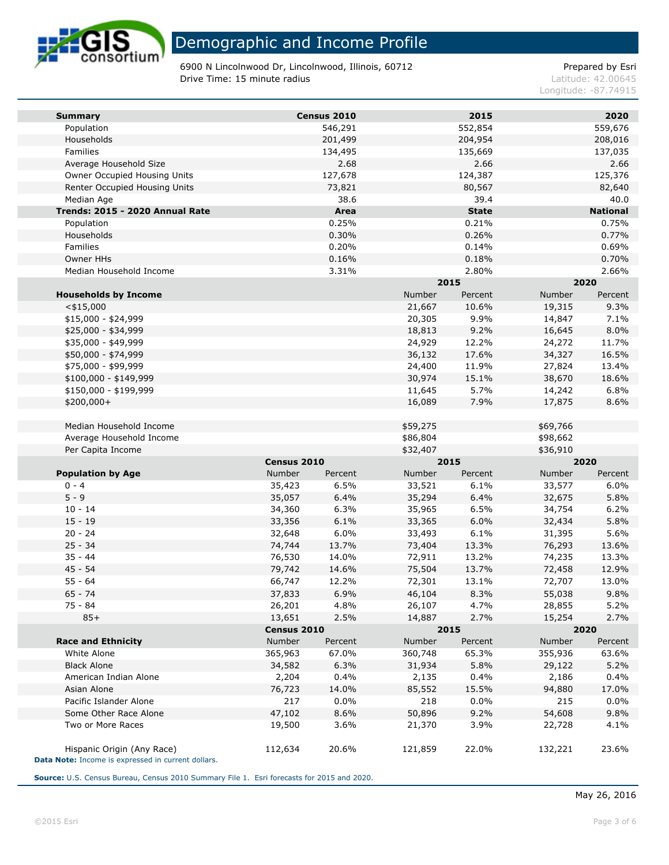

6900 N Lincolnwood Dr, Lincolnwood, Illinois, 60712 Prepared by Esri **Drive Time: 15 minute radius Latitude: 42.00645** 

Longitude: -87.74915

| <b>Summary</b>                                                                   |             | Census 2010 |          | 2015         |          | 2020            |
|----------------------------------------------------------------------------------|-------------|-------------|----------|--------------|----------|-----------------|
| Population                                                                       |             | 546,291     |          | 552,854      |          | 559,676         |
| Households                                                                       |             | 201,499     |          | 204,954      |          | 208,016         |
| Families                                                                         |             | 134,495     |          | 135,669      |          | 137,035         |
| Average Household Size                                                           |             | 2.68        |          | 2.66         |          | 2.66            |
| Owner Occupied Housing Units                                                     |             | 127,678     |          | 124,387      |          | 125,376         |
| Renter Occupied Housing Units                                                    |             | 73,821      |          | 80,567       |          | 82,640          |
| Median Age                                                                       |             | 38.6        |          | 39.4         |          | 40.0            |
| Trends: 2015 - 2020 Annual Rate                                                  |             | Area        |          | <b>State</b> |          | <b>National</b> |
| Population                                                                       |             | 0.25%       |          | 0.21%        |          | 0.75%           |
| Households                                                                       |             | 0.30%       |          | 0.26%        |          | 0.77%           |
| Families                                                                         |             | 0.20%       |          | 0.14%        |          | 0.69%           |
| Owner HHs                                                                        |             | 0.16%       |          | 0.18%        |          | 0.70%           |
| Median Household Income                                                          |             | 3.31%       |          | 2.80%        |          | 2.66%           |
|                                                                                  |             |             |          | 2015         | 2020     |                 |
| <b>Households by Income</b>                                                      |             |             | Number   | Percent      | Number   | Percent         |
| $<$ \$15,000                                                                     |             |             | 21,667   | 10.6%        | 19,315   | 9.3%            |
| $$15,000 - $24,999$                                                              |             |             | 20,305   | 9.9%         | 14,847   | 7.1%            |
| \$25,000 - \$34,999                                                              |             |             | 18,813   | 9.2%         | 16,645   | 8.0%            |
| \$35,000 - \$49,999                                                              |             |             | 24,929   | 12.2%        | 24,272   | 11.7%           |
| \$50,000 - \$74,999                                                              |             |             | 36,132   | 17.6%        | 34,327   | 16.5%           |
| \$75,000 - \$99,999                                                              |             |             | 24,400   | 11.9%        | 27,824   | 13.4%           |
| \$100,000 - \$149,999                                                            |             |             | 30,974   | 15.1%        | 38,670   | 18.6%           |
| \$150,000 - \$199,999                                                            |             |             | 11,645   | 5.7%         | 14,242   | 6.8%            |
| $$200,000+$                                                                      |             |             | 16,089   | 7.9%         | 17,875   | 8.6%            |
| Median Household Income                                                          |             |             | \$59,275 |              | \$69,766 |                 |
| Average Household Income                                                         |             |             | \$86,804 |              | \$98,662 |                 |
| Per Capita Income                                                                |             |             | \$32,407 |              | \$36,910 |                 |
|                                                                                  | Census 2010 |             |          | 2015         | 2020     |                 |
| <b>Population by Age</b>                                                         | Number      | Percent     | Number   | Percent      | Number   | Percent         |
| $0 - 4$                                                                          | 35,423      | 6.5%        | 33,521   | 6.1%         | 33,577   | 6.0%            |
| $5 - 9$                                                                          | 35,057      | 6.4%        | 35,294   | 6.4%         | 32,675   | 5.8%            |
| $10 - 14$                                                                        | 34,360      | 6.3%        | 35,965   | 6.5%         | 34,754   | 6.2%            |
| $15 - 19$                                                                        | 33,356      | 6.1%        | 33,365   | 6.0%         | 32,434   | 5.8%            |
| $20 - 24$                                                                        | 32,648      | 6.0%        | 33,493   | 6.1%         | 31,395   | 5.6%            |
| $25 - 34$                                                                        | 74,744      | 13.7%       | 73,404   | 13.3%        | 76,293   | 13.6%           |
| $35 - 44$                                                                        | 76,530      | 14.0%       | 72,911   | 13.2%        | 74,235   | 13.3%           |
| $45 - 54$                                                                        | 79,742      | 14.6%       | 75,504   | 13.7%        | 72,458   | 12.9%           |
| $55 - 64$                                                                        | 66,747      | 12.2%       | 72,301   | 13.1%        | 72,707   | 13.0%           |
| $65 - 74$                                                                        | 37,833      | 6.9%        | 46,104   | 8.3%         | 55,038   | 9.8%            |
| $75 - 84$                                                                        | 26,201      | 4.8%        | 26,107   | 4.7%         | 28,855   | 5.2%            |
| $85+$                                                                            | 13,651      | 2.5%        | 14,887   | 2.7%         | 15,254   | 2.7%            |
|                                                                                  | Census 2010 |             |          | 2015         | 2020     |                 |
| <b>Race and Ethnicity</b>                                                        | Number      | Percent     | Number   | Percent      | Number   | Percent         |
| White Alone                                                                      | 365,963     | 67.0%       | 360,748  | 65.3%        | 355,936  | 63.6%           |
| <b>Black Alone</b>                                                               | 34,582      | 6.3%        | 31,934   | 5.8%         | 29,122   | 5.2%            |
| American Indian Alone                                                            | 2,204       | 0.4%        | 2,135    | 0.4%         | 2,186    | 0.4%            |
| Asian Alone                                                                      | 76,723      | 14.0%       | 85,552   | 15.5%        | 94,880   | 17.0%           |
| Pacific Islander Alone                                                           | 217         | $0.0\%$     | 218      | $0.0\%$      | 215      | 0.0%            |
| Some Other Race Alone                                                            | 47,102      | 8.6%        | 50,896   | 9.2%         | 54,608   | 9.8%            |
| Two or More Races                                                                | 19,500      | 3.6%        | 21,370   | 3.9%         | 22,728   | 4.1%            |
| Hispanic Origin (Any Race)<br>Data Note: Income is expressed in current dollars. | 112,634     | 20.6%       | 121,859  | 22.0%        | 132,221  | 23.6%           |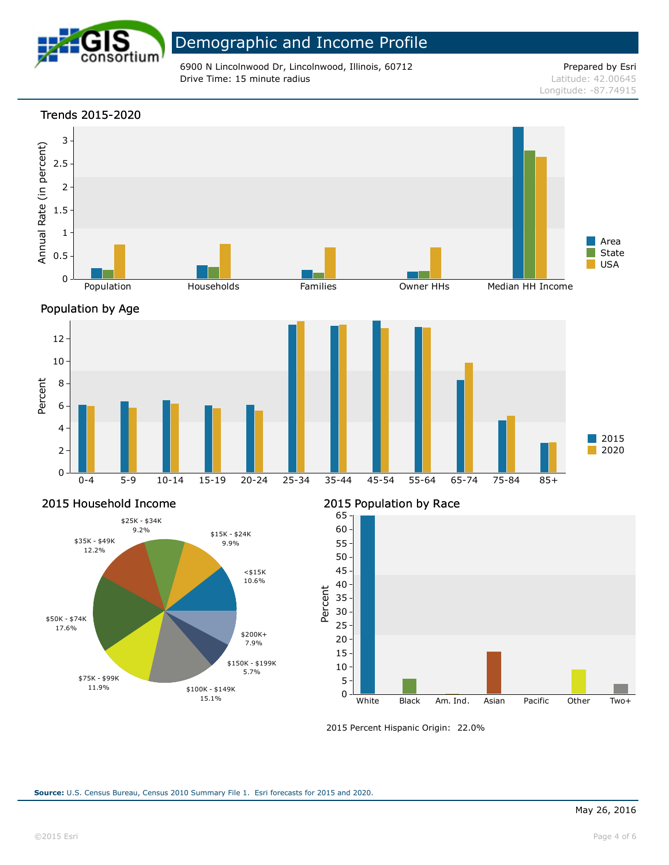

6900 N Lincolnwood Dr, Lincolnwood, Illinois, 60712 Prepared by Esri **Drive Time: 15 minute radius Latitude: 42.00645** 

Longitude: -87.74915



### 2015 Household Income



### 2015 Population by Race



2015 Percent Hispanic Origin: 22.0%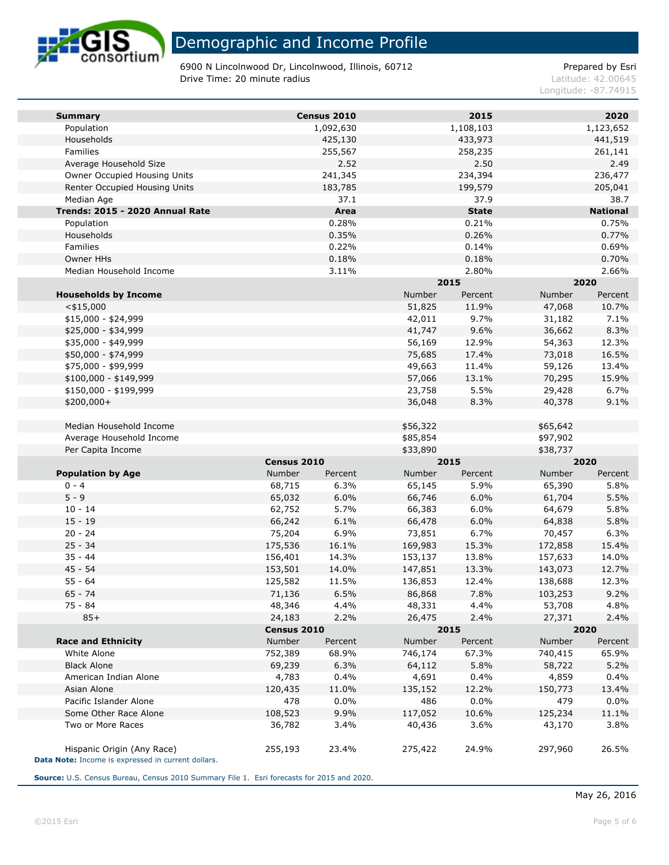

6900 N Lincolnwood Dr, Lincolnwood, Illinois, 60712 Prepared by Esri **Drive Time: 20 minute radius Latitude: 42.00645** 

Longitude: -87.74915

| <b>Summary</b>                                                                   |             | Census 2010 |          | 2015         |          | 2020            |
|----------------------------------------------------------------------------------|-------------|-------------|----------|--------------|----------|-----------------|
| Population                                                                       |             | 1,092,630   |          | 1,108,103    |          | 1,123,652       |
| Households                                                                       |             | 425,130     |          | 433,973      |          | 441,519         |
| Families                                                                         |             | 255,567     |          | 258,235      |          | 261,141         |
| Average Household Size                                                           |             | 2.52        |          | 2.50         |          | 2.49            |
| Owner Occupied Housing Units                                                     |             | 241,345     |          | 234,394      |          | 236,477         |
| Renter Occupied Housing Units                                                    |             | 183,785     |          | 199,579      |          | 205,041         |
| Median Age                                                                       |             | 37.1        |          | 37.9         |          | 38.7            |
| Trends: 2015 - 2020 Annual Rate                                                  |             | Area        |          | <b>State</b> |          | <b>National</b> |
| Population                                                                       |             | 0.28%       |          | 0.21%        |          | 0.75%           |
| Households                                                                       |             | 0.35%       |          | 0.26%        |          | 0.77%           |
| Families                                                                         |             | 0.22%       |          | 0.14%        |          | 0.69%           |
| Owner HHs                                                                        |             | 0.18%       |          | 0.18%        |          | 0.70%           |
| Median Household Income                                                          |             | 3.11%       |          | 2.80%        |          | 2.66%           |
|                                                                                  |             |             |          | 2015         |          | 2020            |
| <b>Households by Income</b>                                                      |             |             | Number   | Percent      | Number   | Percent         |
| $<$ \$15,000                                                                     |             |             | 51,825   | 11.9%        | 47,068   | 10.7%           |
| $$15,000 - $24,999$                                                              |             |             | 42,011   | 9.7%         | 31,182   | 7.1%            |
| \$25,000 - \$34,999                                                              |             |             | 41,747   | 9.6%         | 36,662   | 8.3%            |
| \$35,000 - \$49,999                                                              |             |             | 56,169   | 12.9%        | 54,363   | 12.3%           |
| \$50,000 - \$74,999                                                              |             |             | 75,685   | 17.4%        | 73,018   | 16.5%           |
| \$75,000 - \$99,999                                                              |             |             | 49,663   | 11.4%        | 59,126   | 13.4%           |
| \$100,000 - \$149,999                                                            |             |             | 57,066   | 13.1%        | 70,295   | 15.9%           |
| \$150,000 - \$199,999                                                            |             |             | 23,758   | 5.5%         | 29,428   | 6.7%            |
| $$200,000+$                                                                      |             |             | 36,048   | 8.3%         | 40,378   | 9.1%            |
| Median Household Income                                                          |             |             | \$56,322 |              | \$65,642 |                 |
| Average Household Income                                                         |             |             | \$85,854 |              | \$97,902 |                 |
| Per Capita Income                                                                |             |             | \$33,890 |              | \$38,737 |                 |
|                                                                                  | Census 2010 |             | 2015     |              | 2020     |                 |
| <b>Population by Age</b>                                                         | Number      | Percent     | Number   | Percent      | Number   | Percent         |
| $0 - 4$                                                                          | 68,715      | 6.3%        | 65,145   | 5.9%         | 65,390   | 5.8%            |
| $5 - 9$                                                                          | 65,032      | 6.0%        | 66,746   | 6.0%         | 61,704   | 5.5%            |
| $10 - 14$                                                                        | 62,752      | 5.7%        | 66,383   | 6.0%         | 64,679   | 5.8%            |
| $15 - 19$                                                                        | 66,242      | 6.1%        | 66,478   | 6.0%         | 64,838   | 5.8%            |
| $20 - 24$                                                                        | 75,204      | 6.9%        | 73,851   | 6.7%         | 70,457   | 6.3%            |
| $25 - 34$                                                                        | 175,536     | 16.1%       | 169,983  | 15.3%        | 172,858  | 15.4%           |
| $35 - 44$                                                                        | 156,401     | 14.3%       | 153,137  | 13.8%        | 157,633  | 14.0%           |
| 45 - 54                                                                          | 153,501     | 14.0%       | 147,851  | 13.3%        | 143,073  | 12.7%           |
| $55 - 64$                                                                        | 125,582     | 11.5%       | 136,853  | 12.4%        | 138,688  | 12.3%           |
| $65 - 74$                                                                        | 71,136      | 6.5%        | 86,868   | 7.8%         | 103,253  | 9.2%            |
| $75 - 84$                                                                        | 48,346      | 4.4%        | 48,331   | 4.4%         | 53,708   | 4.8%            |
| $85+$                                                                            | 24,183      | 2.2%        | 26,475   | 2.4%         | 27,371   | 2.4%            |
|                                                                                  | Census 2010 |             |          | 2015         |          | 2020            |
| <b>Race and Ethnicity</b>                                                        | Number      | Percent     | Number   | Percent      | Number   | Percent         |
| White Alone                                                                      | 752,389     | 68.9%       | 746,174  | 67.3%        | 740,415  | 65.9%           |
| <b>Black Alone</b>                                                               | 69,239      | 6.3%        | 64,112   | 5.8%         | 58,722   | 5.2%            |
| American Indian Alone                                                            | 4,783       | 0.4%        | 4,691    | 0.4%         | 4,859    | 0.4%            |
| Asian Alone                                                                      | 120,435     | 11.0%       | 135,152  | 12.2%        | 150,773  | 13.4%           |
| Pacific Islander Alone                                                           | 478         | $0.0\%$     | 486      | 0.0%         | 479      | 0.0%            |
| Some Other Race Alone                                                            | 108,523     | 9.9%        | 117,052  | 10.6%        | 125,234  | 11.1%           |
| Two or More Races                                                                | 36,782      | 3.4%        | 40,436   | 3.6%         | 43,170   | 3.8%            |
| Hispanic Origin (Any Race)<br>Data Note: Income is expressed in current dollars. | 255,193     | 23.4%       | 275,422  | 24.9%        | 297,960  | 26.5%           |